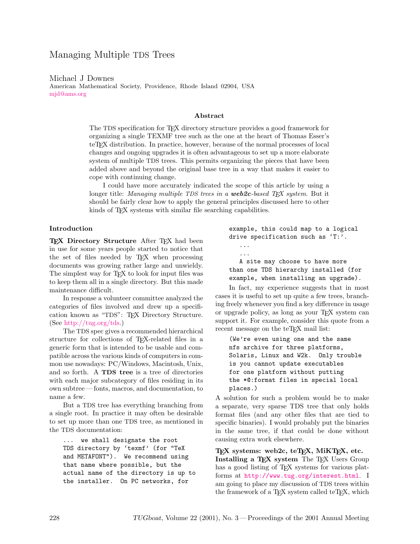Michael J Downes

American Mathematical Society, Providence, Rhode Island 02904, USA [mjd@ams.org](file:mjd@ams.org)

### Abstract

The TDS specification for TEX directory structure provides a good framework for organizing a single TEXMF tree such as the one at the heart of Thomas Esser's teTEX distribution. In practice, however, because of the normal processes of local changes and ongoing upgrades it is often advantageous to set up a more elaborate system of multiple TDS trees. This permits organizing the pieces that have been added above and beyond the original base tree in a way that makes it easier to cope with continuing change.

I could have more accurately indicated the scope of this article by using a longer title: *Managing multiple TDS trees in a web2c-based TFX system.* But it should be fairly clear how to apply the general principles discussed here to other kinds of T<sub>E</sub>X systems with similar file searching capabilities.

## Introduction

TEX Directory Structure After TEX had been in use for some years people started to notice that the set of files needed by TEX when processing documents was growing rather large and unwieldy. The simplest way for T<sub>F</sub>X to look for input files was to keep them all in a single directory. But this made maintenance difficult.

In response a volunteer committee analyzed the categories of files involved and drew up a specification known as "TDS": TEX Directory Structure. (See [http://tug.org/tds.](http://tug.org/tds))

The TDS spec gives a recommended hierarchical structure for collections of TEX-related files in a generic form that is intended to be usable and compatible across the various kinds of computers in common use nowadays: PC/Windows, Macintosh, Unix, and so forth. A TDS tree is a tree of directories with each major subcategory of files residing in its own subtree — fonts, macros, and documentation, to name a few.

But a TDS tree has everything branching from a single root. In practice it may often be desirable to set up more than one TDS tree, as mentioned in the TDS documentation:

... we shall designate the root TDS directory by 'texmf' (for "TeX and METAFONT"). We recommend using that name where possible, but the actual name of the directory is up to the installer. On PC networks, for

example, this could map to a logical drive specification such as 'T:'. ... ... A site may choose to have more than one TDS hierarchy installed (for example, when installing an upgrade).

In fact, my experience suggests that in most cases it is useful to set up quite a few trees, branching freely whenever you find a key difference in usage or upgrade policy, as long as your TEX system can support it. For example, consider this quote from a recent message on the teTEX mail list:

(We're even using one and the same nfs archive for three platforms, Solaris, Linux and W2k. Only trouble is you cannot update executables for one platform without putting the \*@:format files in special local places.)

A solution for such a problem would be to make a separate, very sparse TDS tree that only holds format files (and any other files that are tied to specific binaries). I would probably put the binaries in the same tree, if that could be done without causing extra work elsewhere.

T<sub>EX</sub> systems: web2c, teT<sub>E</sub>X, MiKT<sub>E</sub>X, etc. Installing a TEX system The TEX Users Group has a good listing of T<sub>EX</sub> systems for various platforms at <http://www.tug.org/interest.html>. I am going to place my discussion of TDS trees within the framework of a T<sub>E</sub>X system called teT<sub>E</sub>X, which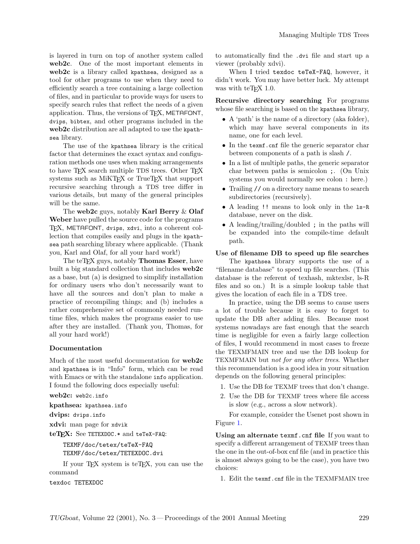is layered in turn on top of another system called web2c. One of the most important elements in web2c is a library called kpathsea, designed as a tool for other programs to use when they need to efficiently search a tree containing a large collection of files, and in particular to provide ways for users to specify search rules that reflect the needs of a given application. Thus, the versions of TEX, METAFONT, dvips, bibtex, and other programs included in the web2c distribution are all adapted to use the kpathsea library.

The use of the kpathsea library is the critical factor that determines the exact syntax and configuration methods one uses when making arrangements to have TEX search multiple TDS trees. Other TEX systems such as MIKT<sub>EX</sub> or TrueT<sub>EX</sub> that support recursive searching through a TDS tree differ in various details, but many of the general principles will be the same.

The web2c guys, notably Karl Berry & Olaf Weber have pulled the source code for the programs TEX, METAFONT, dvips, xdvi, into a coherent collection that compiles easily and plugs in the kpathsea path searching library where applicable. (Thank you, Karl and Olaf, for all your hard work!)

The teTFX guys, notably **Thomas Esser**, have built a big standard collection that includes web2c as a base, but (a) is designed to simplify installation for ordinary users who don't necessarily want to have all the sources and don't plan to make a practice of recompiling things; and (b) includes a rather comprehensive set of commonly needed runtime files, which makes the programs easier to use after they are installed. (Thank you, Thomas, for all your hard work!)

### Documentation

Much of the most useful documentation for web2c and kpathsea is in "Info" form, which can be read with Emacs or with the standalone info application. I found the following docs especially useful:

web2c: web2c.info

kpathsea: kpathsea.info

dvips: dvips.info

xdvi: man page for xdvik

teTEX: See TETEXDOC.\* and teTeX-FAQ:

TEXMF/doc/tetex/teTeX-FAQ TEXMF/doc/tetex/TETEXDOC.dvi

If your TEX system is teTEX, you can use the command

texdoc TETEXDOC

to automatically find the .dvi file and start up a viewer (probably xdvi).

When I tried texdoc teTeX-FAQ, however, it didn't work. You may have better luck. My attempt was with teT<sub>F</sub> $X$  1.0.

Recursive directory searching For programs whose file searching is based on the kpathsea library,

- A 'path' is the name of a directory (aka folder), which may have several components in its name, one for each level.
- In the texmf.cnf file the generic separator char between components of a path is slash /.
- In a list of multiple paths, the generic separator char between paths is semicolon ;. (On Unix systems you would normally see colon : here.)
- Trailing // on a directory name means to search subdirectories (recursively).
- A leading !! means to look only in the ls-R database, never on the disk.
- A leading/trailing/doubled; in the paths will be expanded into the compile-time default path.

### Use of filename DB to speed up file searches

The kpathsea library supports the use of a "filename database" to speed up file searches. (This database is the referent of texhash, mktexlsr, ls-R files and so on.) It is a simple lookup table that gives the location of each file in a TDS tree.

In practice, using the DB seems to cause users a lot of trouble because it is easy to forget to update the DB after adding files. Because most systems nowadays are fast enough that the search time is negligible for even a fairly large collection of files, I would recommend in most cases to freeze the TEXMFMAIN tree and use the DB lookup for TEXMFMAIN but not for any other trees. Whether this recommendation is a good idea in your situation depends on the following general principles:

- 1. Use the DB for TEXMF trees that don't change.
- 2. Use the DB for TEXMF trees where file access is slow (e.g., across a slow network).

For example, consider the Usenet post shown in Figure [1.](#page-2-0)

Using an alternate texmf.cnf file If you want to specify a different arrangement of TEXMF trees than the one in the out-of-box cnf file (and in practice this is almost always going to be the case), you have two choices:

1. Edit the texmf.cnf file in the TEXMFMAIN tree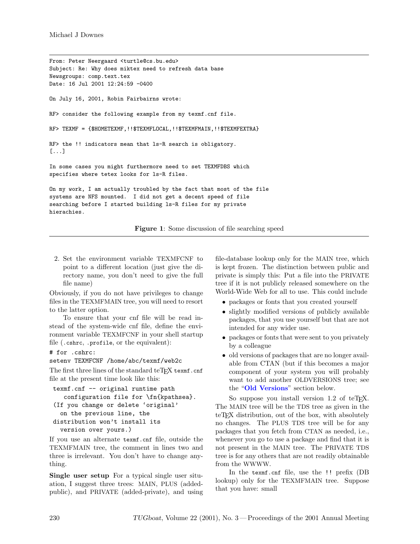From: Peter Neergaard <turtle@cs.bu.edu> Subject: Re: Why does miktex need to refresh data base Newsgroups: comp.text.tex Date: 16 Jul 2001 12:24:59 -0400 On July 16, 2001, Robin Fairbairns wrote: RF> consider the following example from my texmf.cnf file. RF> TEXMF = {\$HOMETEXMF, !! \$TEXMFLOCAL, !! \$TEXMFMAIN, !! \$TEXMFEXTRA} RF> the !! indicators mean that ls-R search is obligatory. [...] In some cases you might furthermore need to set TEXMFDBS which specifies where tetex looks for ls-R files. On my work, I am actually troubled by the fact that most of the file systems are NFS mounted. I did not get a decent speed of file searching before I started building ls-R files for my private hierachies.

<span id="page-2-0"></span>Figure 1: Some discussion of file searching speed

2. Set the environment variable TEXMFCNF to point to a different location (just give the directory name, you don't need to give the full file name)

Obviously, if you do not have privileges to change files in the TEXMFMAIN tree, you will need to resort to the latter option.

To ensure that your cnf file will be read instead of the system-wide cnf file, define the environment variable TEXMFCNF in your shell startup file (.cshrc, .profile, or the equivalent):

## # for .cshrc:

### setenv TEXMFCNF /home/abc/texmf/web2c

The first three lines of the standard teTEX texmf.cnf file at the present time look like this:

```
texmf.cnf -- original runtime path
   configuration file for \fn{kpathsea}.
(If you change or delete 'original'
  on the previous line, the
distribution won't install its
  version over yours.)
```
If you use an alternate texmf.cnf file, outside the TEXMFMAIN tree, the comment in lines two and three is irrelevant. You don't have to change anything.

Single user setup For a typical single user situation, I suggest three trees: MAIN, PLUS (addedpublic), and PRIVATE (added-private), and using file-database lookup only for the MAIN tree, which is kept frozen. The distinction between public and private is simply this: Put a file into the PRIVATE tree if it is not publicly released somewhere on the World-Wide Web for all to use. This could include

- packages or fonts that you created yourself
- slightly modified versions of publicly available packages, that you use yourself but that are not intended for any wider use.
- packages or fonts that were sent to you privately by a colleague
- old versions of packages that are no longer available from CTAN (but if this becomes a major component of your system you will probably want to add another OLDVERSIONS tree; see the "[Old Versions](#page-6-0)" section below.

So suppose you install version 1.2 of teTFX. The MAIN tree will be the TDS tree as given in the teT<sub>EX</sub> distribution, out of the box, with absolutely no changes. The PLUS TDS tree will be for any packages that you fetch from CTAN as needed, i.e., whenever you go to use a package and find that it is not present in the MAIN tree. The PRIVATE TDS tree is for any others that are not readily obtainable from the WWWW.

In the texmf.cnf file, use the !! prefix (DB lookup) only for the TEXMFMAIN tree. Suppose that you have: small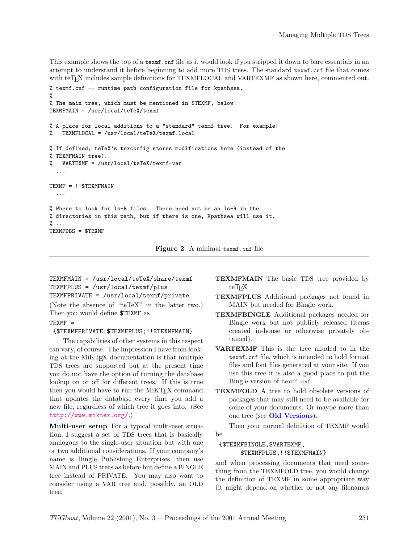This example shows the top of a texmf.cnf file as it would look if you stripped it down to bare essentials in an attempt to understand it before beginning to add more TDS trees. The standard texmf.cnf file that comes with teT<sub>E</sub>X includes sample definitions for TEXMFLOCAL and VARTEXMF as shown here, commented out.

```
% texmf.cnf -- runtime path configuration file for kpathsea.
%
% The main tree, which must be mentioned in $TEXMF, below:
TEXMFMAIN = /usr/local/teTeX/texmf
% A place for local additions to a "standard" texmf tree. For example:
% TEXMFLOCAL = /usr/local/teTeX/texmf.local
% If defined, teTeX's texconfig stores modifications here (instead of the
% TEXMFMAIN tree).
% VARTEXMF = /usr/local/teTeX/texmf-var
  ...
TEXMF = !!$TEXMFMAIN
  ...
% Where to look for ls-R files. There need not be an ls-R in the
% directories in this path, but if there is one, Kpathsea will use it.
% ...
TEXMFDBS = $TEXMF
```
Figure 2: A minimal texmf.cnf file

TEXMFMAIN = /usr/local/teTeX/share/texmf TEXMFPLUS = /usr/local/texmf/plus TEXMFPRIVATE = /usr/local/texmf/private

(Note the absence of "teTeX" in the latter two.) Then you would define \$TEXMF as

## $TEXMF =$

### {\$TEXMFPRIVATE;\$TEXMFPLUS;!!\$TEXMFMAIN}

The capabilities of other systems in this respect can vary, of course. The impression I have from looking at the MiKTEX documentation is that multiple TDS trees are supported but at the present time you do not have the option of turning the database lookup on or off for different trees. If this is true then you would have to run the MiKTEX command that updates the database every time you add a new file, regardless of which tree it goes into. (See <http://www.miktex.org/>.)

Multi-user setup For a typical multi-user situation, I suggest a set of TDS trees that is basically analogous to the single-user situation but with one or two additional considerations. If your company's name is Bingle Publishing Enterprises, then use MAIN and PLUS trees as before but define a BINGLE tree instead of PRIVATE. You may also want to consider using a VAR tree and, possibly, an OLD tree.

- TEXMFMAIN The basic TDS tree provided by teT<sub>F</sub>X
- TEXMFPLUS Additional packages not found in MAIN but needed for Bingle work.
- TEXMFBINGLE Additional packages needed for Bingle work but not publicly released (items created in-house or otherwise privately obtained).
- VARTEXMF This is the tree alluded to in the texmf.cnf file, which is intended to hold format files and font files generated at your site. If you use this tree it is also a good place to put the Bingle version of texmf.cnf.
- TEXMFOLD A tree to hold obsolete versions of packages that may still need to be available for some of your documents. Or maybe more than one tree (see [Old Versions](#page-6-0)).

Then your normal definition of TEXMF would be

# {\$TEXMFBINGLE,\$VARTEXMF, \$TEXMFPLUS,!!\$TEXMFMAIN}

and when processing documents that need something from the TEXMFOLD tree, you would change the definition of TEXMF in some appropriate way (it might depend on whether or not any filenames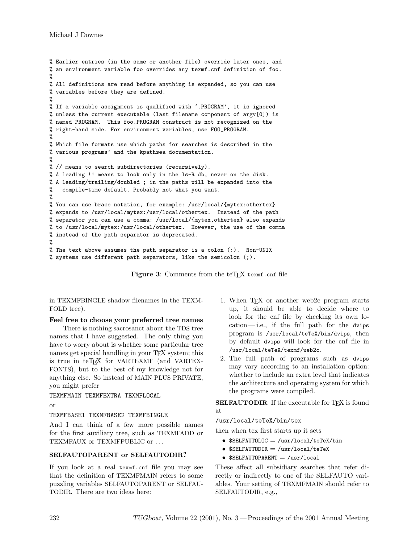% Earlier entries (in the same or another file) override later ones, and % an environment variable foo overrides any texmf.cnf definition of foo. % % All definitions are read before anything is expanded, so you can use % variables before they are defined. % % If a variable assignment is qualified with '.PROGRAM', it is ignored % unless the current executable (last filename component of argv[0]) is % named PROGRAM. This foo.PROGRAM construct is not recognized on the % right-hand side. For environment variables, use FOO\_PROGRAM. % % Which file formats use which paths for searches is described in the % various programs' and the kpathsea documentation. % % // means to search subdirectories (recursively). % A leading !! means to look only in the ls-R db, never on the disk. % A leading/trailing/doubled ; in the paths will be expanded into the % compile-time default. Probably not what you want. % % You can use brace notation, for example: /usr/local/{mytex:othertex} % expands to /usr/local/mytex:/usr/local/othertex. Instead of the path % separator you can use a comma: /usr/local/{mytex,othertex} also expands % to /usr/local/mytex:/usr/local/othertex. However, the use of the comma % instead of the path separator is deprecated. % % The text above assumes the path separator is a colon (:). Non-UNIX  $%$  systems use different path separators, like the semicolon (;).

Figure 3: Comments from the teT<sub>E</sub>X texmf.cnf file

in TEXMFBINGLE shadow filenames in the TEXM-FOLD tree).

### Feel free to choose your preferred tree names

There is nothing sacrosanct about the TDS tree names that I have suggested. The only thing you have to worry about is whether some particular tree names get special handling in your T<sub>EX</sub> system; this is true in teTEX for VARTEXMF (and VARTEX-FONTS), but to the best of my knowledge not for anything else. So instead of MAIN PLUS PRIVATE, you might prefer

TEXMFMAIN TEXMFEXTRA TEXMFLOCAL

or

## TEXMFBASE1 TEXMFBASE2 TEXMFBINGLE

And I can think of a few more possible names for the first auxiliary tree, such as TEXMFADD or TEXMFAUX or TEXMFPUBLIC or . . .

## SELFAUTOPARENT or SELFAUTODIR?

If you look at a real texmf.cnf file you may see that the definition of TEXMFMAIN refers to some puzzling variables SELFAUTOPARENT or SELFAU-TODIR. There are two ideas here:

- 1. When T<sub>F</sub>X or another web2c program starts up, it should be able to decide where to look for the cnf file by checking its own lo $cation$ — i.e., if the full path for the dvips program is /usr/local/teTeX/bin/dvips, then by default dvips will look for the cnf file in /usr/local/teTeX/texmf/web2c.
- 2. The full path of programs such as dvips may vary according to an installation option: whether to include an extra level that indicates the architecture and operating system for which the programs were compiled.

**SELFAUTODIR** If the executable for T<sub>F</sub>X is found at

## /usr/local/teTeX/bin/tex

then when tex first starts up it sets

- $$SELFAUTOLOC = /usr/local/teTeX/bin$
- $$SELFAUTODIR = /usr/local/teTeX$
- $\bullet$  \$SELFAUTOPARENT = /usr/local

These affect all subsidiary searches that refer directly or indirectly to one of the SELFAUTO variables. Your setting of TEXMFMAIN should refer to SELFAUTODIR, e.g.,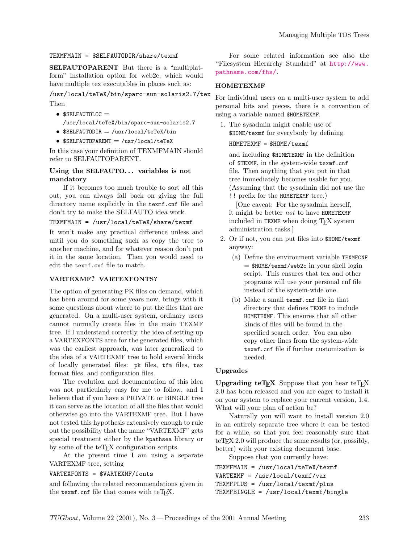### TEXMFMAIN = \$SELFAUTODIR/share/texmf

SELFAUTOPARENT But there is a "multiplatform" installation option for web2c, which would have multiple tex executables in places such as:

# /usr/local/teTeX/bin/sparc-sun-solaris2.7/tex Then

- $•$  \$SELFAUTOLOC  $=$ /usr/local/teTeX/bin/sparc-sun-solaris2.7
- $$SELFAUTODIR = /usr/local/teTeX/bin$
- $SSELFAUTOPARENT = /usr/local/teTeX$

In this case your definition of TEXMFMAIN should refer to SELFAUTOPARENT.

## Using the SELFAUTO... variables is not mandatory

If it becomes too much trouble to sort all this out, you can always fall back on giving the full directory name explicitly in the texmf.cnf file and don't try to make the SELFAUTO idea work.

## TEXMFMAIN = /usr/local/teTeX/share/texmf

It won't make any practical difference unless and until you do something such as copy the tree to another machine, and for whatever reason don't put it in the same location. Then you would need to edit the texmf.cnf file to match.

## VARTEXMF? VARTEXFONTS?

The option of generating PK files on demand, which has been around for some years now, brings with it some questions about where to put the files that are generated. On a multi-user system, ordinary users cannot normally create files in the main TEXMF tree. If I understand correctly, the idea of setting up a VARTEXFONTS area for the generated files, which was the earliest approach, was later generalized to the idea of a VARTEXMF tree to hold several kinds of locally generated files: pk files, tfm files, tex format files, and configuration files.

The evolution and documentation of this idea was not particularly easy for me to follow, and I believe that if you have a PRIVATE or BINGLE tree it can serve as the location of all the files that would otherwise go into the VARTEXMF tree. But I have not tested this hypothesis extensively enough to rule out the possibility that the name "VARTEXMF" gets special treatment either by the kpathsea library or by some of the teT<sub>EX</sub> configuration scripts.

At the present time I am using a separate VARTEXMF tree, setting

### VARTEXFONTS = \$VARTEXMF/fonts

and following the related recommendations given in the texmf.cnf file that comes with teTFX.

For some related information see also the "Filesystem Hierarchy Standard" at [http://www.](http://www.pathname.com/fhs/) [pathname.com/fhs/](http://www.pathname.com/fhs/).

### HOMETEXMF

For individual users on a multi-user system to add personal bits and pieces, there is a convention of using a variable named \$HOMETEXMF.

1. The sysadmin might enable use of \$HOME/texmf for everybody by defining

## HOMETEXMF = \$HOME/texmf

and including \$HOMETEXMF in the definition of \$TEXMF, in the system-wide texmf.cnf file. Then anything that you put in that tree immediately becomes usable for you. (Assuming that the sysadmin did not use the !! prefix for the HOMETEXMF tree.)

[One caveat: For the sysadmin herself, it might be better  $not$  to have HOMETEXMF included in TEXMF when doing TEX system administration tasks.]

- 2. Or if not, you can put files into \$HOME/texmf anyway:
	- (a) Define the environment variable TEXMFCNF = \$HOME/texmf/web2c in your shell login script. This ensures that tex and other programs will use your personal cnf file instead of the system-wide one.
	- (b) Make a small texmf.cnf file in that directory that defines TEXMF to include HOMETEXMF. This ensures that all other kinds of files will be found in the specified search order. You can also copy other lines from the system-wide texmf.cnf file if further customization is needed.

## Upgrades

Upgrading  $teTeX$  Suppose that you hear  $teTeX$ 2.0 has been released and you are eager to install it on your system to replace your current version, 1.4. What will your plan of action be?

Naturally you will want to install version 2.0 in an entirely separate tree where it can be tested for a while, so that you feel reasonably sure that teTFX 2.0 will produce the same results (or, possibly, better) with your existing document base.

Suppose that you currently have:

```
TEXMFMAIN = /usr/local/teTeX/texmf
VARTEXMF = /usr/local/texmf/var
TEXMFPLUS = /usr/local/texmf/plus
TEXMFBINGLE = /usr/local/texmf/bingle
```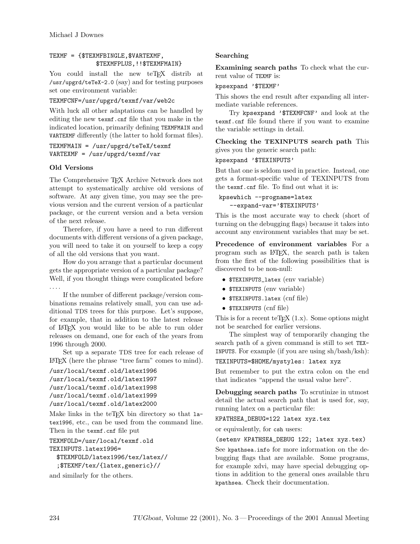# TEXMF = {\$TEXMFBINGLE,\$VARTEXMF, \$TEXMFPLUS,!!\$TEXMFMAIN}

You could install the new teTFX distrib at /usr/upgrd/teTeX-2.0 (say) and for testing purposes set one environment variable:

TEXMFCNF=/usr/upgrd/texmf/var/web2c

With luck all other adaptations can be handled by editing the new texmf.cnf file that you make in the indicated location, primarily defining TEXMFMAIN and VARTEXMF differently (the latter to hold format files).

TEXMFMAIN = /usr/upgrd/teTeX/texmf VARTEXMF = /usr/upgrd/texmf/var

# Old Versions

<span id="page-6-0"></span>The Comprehensive TEX Archive Network does not attempt to systematically archive old versions of software. At any given time, you may see the previous version and the current version of a particular package, or the current version and a beta version of the next release.

Therefore, if you have a need to run different documents with different versions of a given package, you will need to take it on yourself to keep a copy of all the old versions that you want.

How do you arrange that a particular document gets the appropriate version of a particular package? Well, if you thought things were complicated before . . . .

If the number of different package/version combinations remains relatively small, you can use additional TDS trees for this purpose. Let's suppose, for example, that in addition to the latest release of LATEX you would like to be able to run older releases on demand, one for each of the years from 1996 through 2000.

Set up a separate TDS tree for each release of LATEX (here the phrase "tree farm" comes to mind).

```
/usr/local/texmf.old/latex1996
/usr/local/texmf.old/latex1997
/usr/local/texmf.old/latex1998
/usr/local/texmf.old/latex1999
/usr/local/texmf.old/latex2000
```
Make links in the teT<sub>E</sub>X bin directory so that latex1996, etc., can be used from the command line. Then in the texmf.cnf file put

```
TEXMFOLD=/usr/local/texmf.old
TEXINPUTS.latex1996=
```

```
$TEXMFOLD/latex1996/tex/latex//
;$TEXMF/tex/{latex,generic}//
```
and similarly for the others.

# Searching

Examining search paths To check what the current value of TEXMF is:

kpsexpand '\$TEXMF'

This shows the end result after expanding all intermediate variable references.

Try kpsexpand '\$TEXMFCNF' and look at the texmf.cnf file found there if you want to examine the variable settings in detail.

Checking the TEXINPUTS search path This gives you the generic search path:

kpsexpand '\$TEXINPUTS'

But that one is seldom used in practice. Instead, one gets a format-specific value of TEXINPUTS from the texmf.cnf file. To find out what it is:

```
kpsewhich --progname=latex
   --expand-var='$TEXINPUTS'
```
This is the most accurate way to check (short of turning on the debugging flags) because it takes into account any environment variables that may be set.

Precedence of environment variables For a program such as LATEX, the search path is taken from the first of the following possibilities that is discovered to be non-null:

- \$TEXINPUTS\_latex (env variable)
- \$TEXINPUTS (env variable)
- \$TEXINPUTS.latex (cnf file)
- \$TEXINPUTS (cnf file)

This is for a recent teT<sub>EX</sub>  $(1.x)$ . Some options might not be searched for earlier versions.

The simplest way of temporarily changing the search path of a given command is still to set TEX-INPUTS. For example (if you are using sh/bash/ksh):

TEXINPUTS=\$HOME/mystyles: latex xyz

But remember to put the extra colon on the end that indicates "append the usual value here".

Debugging search paths To scrutinize in utmost detail the actual search path that is used for, say, running latex on a particular file:

KPATHSEA\_DEBUG=122 latex xyz.tex

or equivalently, for csh users:

(setenv KPATHSEA\_DEBUG 122; latex xyz.tex)

See kpathsea.info for more information on the debugging flags that are available. Some programs, for example xdvi, may have special debugging options in addition to the general ones available thru kpathsea. Check their documentation.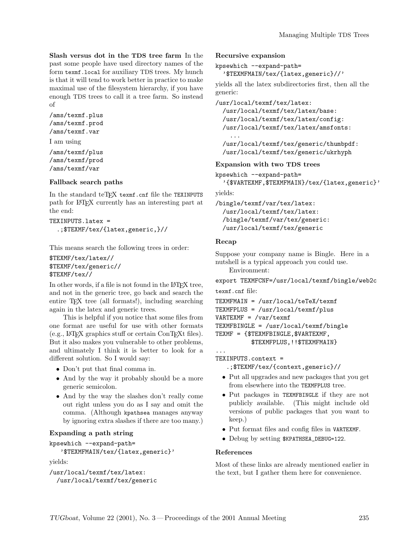Slash versus dot in the TDS tree farm In the past some people have used directory names of the form texmf.local for auxiliary TDS trees. My hunch is that it will tend to work better in practice to make maximal use of the filesystem hierarchy, if you have enough TDS trees to call it a tree farm. So instead of

/ams/texmf.plus /ams/texmf.prod /ams/texmf.var

I am using

/ams/texmf/plus /ams/texmf/prod /ams/texmf/var

## Fallback search paths

In the standard teTEX texmf.cnf file the TEXINPUTS path for LATEX currently has an interesting part at the end:

```
TEXINPUTS.latex =
  .;$TEXMF/tex/{latex,generic,}//
```
This means search the following trees in order:

```
$TEXMF/tex/latex//
$TEXMF/tex/generic//
$TEXMF/tex//
```
In other words, if a file is not found in the LATEX tree, and not in the generic tree, go back and search the entire TEX tree (all formats!), including searching again in the latex and generic trees.

This is helpful if you notice that some files from one format are useful for use with other formats (e.g., LATEX graphics stuff or certain ConTEXt files). But it also makes you vulnerable to other problems, and ultimately I think it is better to look for a different solution. So I would say:

- Don't put that final comma in.
- And by the way it probably should be a more generic semicolon.
- And by the way the slashes don't really come out right unless you do as I say and omit the comma. (Although kpathsea manages anyway by ignoring extra slashes if there are too many.)

## Expanding a path string

```
kpsewhich --expand-path=
   '$TEXMFMAIN/tex/{latex,generic}'
```
yields:

```
/usr/local/texmf/tex/latex:
  /usr/local/texmf/tex/generic
```
#### Recursive expansion

```
kpsewhich --expand-path=
```
'\$TEXMFMAIN/tex/{latex,generic}//'

yields all the latex subdirectories first, then all the generic:

/usr/local/texmf/tex/latex:

/usr/local/texmf/tex/latex/base: /usr/local/texmf/tex/latex/config: /usr/local/texmf/tex/latex/amsfonts:

/usr/local/texmf/tex/generic/thumbpdf: /usr/local/texmf/tex/generic/ukrhyph

Expansion with two TDS trees

```
kpsewhich --expand-path=
```

```
'{$VARTEXMF,$TEXMFMAIN}/tex/{latex,generic}'
```
yields:

...

/bingle/texmf/var/tex/latex: /usr/local/texmf/tex/latex: /bingle/texmf/var/tex/generic: /usr/local/texmf/tex/generic

### Recap

Suppose your company name is Bingle. Here in a nutshell is a typical approach you could use.

Environment:

export TEXMFCNF=/usr/local/texmf/bingle/web2c

texmf.cnf file:

```
TEXMFMAIN = /usr/local/teTeX/texmf
TEXMFPLUS = /usr/local/texmf/plus
VARTEXMF = /var/texmf
TEXMFBINGLE = /usr/local/texmf/bingle
TEXMF = {$TEXMFBINGLE,$VARTEXMF,
          $TEXMFPLUS,!!$TEXMFMAIN}
```
TEXINPUTS.context =

...

- .;\$TEXMF/tex/{context,generic}//
- Put all upgrades and new packages that you get from elsewhere into the TEXMFPLUS tree.
- Put packages in TEXMFBINGLE if they are not publicly available. (This might include old versions of public packages that you want to keep.)
- Put format files and config files in VARTEXMF.
- Debug by setting \$KPATHSEA\_DEBUG=122.

## References

Most of these links are already mentioned earlier in the text, but I gather them here for convenience.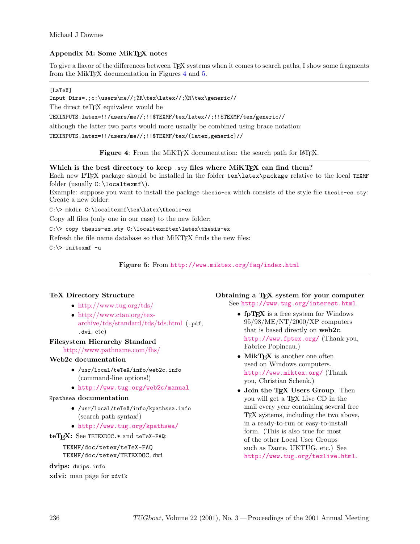# Appendix M: Some MikTEX notes

To give a flavor of the differences between TEX systems when it comes to search paths, I show some fragments from the MikT<sub>EX</sub> documentation in Figures [4](#page-8-0) and [5.](#page-8-1)

## [LaTeX]

Input Dirs=.;c:\users\me//;%R\tex\latex//;%R\tex\generic//

The direct teT<sub>EX</sub> equivalent would be

TEXINPUTS.latex=!!/users/me//;!!\$TEXMF/tex/latex//;!!\$TEXMF/tex/generic//

although the latter two parts would more usually be combined using brace notation:

TEXINPUTS.latex=!!/users/me//;!!\$TEXMF/tex/{latex,generic}//

<span id="page-8-0"></span>Figure 4: From the MiKTEX documentation: the search path for LATEX.

# Which is the best directory to keep .sty files where MiKTEX can find them?

Each new LATEX package should be installed in the folder  $text\{back}}$ package relative to the local TEXMF folder (usually C:\localtexmf\).

Example: suppose you want to install the package thesis-ex which consists of the style file thesis-es.sty: Create a new folder:

C:\> mkdir C:\localtexmf\tex\latex\thesis-ex

Copy all files (only one in our case) to the new folder:

## C:\> copy thesis-ex.sty C:\localtexmftex\latex\thesis-ex

Refresh the file name database so that MiKTEX finds the new files:

C:\> initexmf -u

<span id="page-8-1"></span>Figure 5: From <http://www.miktex.org/faq/index.html>

# TeX Directory Structure

- <http://www.tug.org/tds/>
- [http://www.ctan.org/tex](http://www.ctan.org/tex-archive/tds/standard/tds/tds.html)[archive/tds/standard/tds/tds.html](http://www.ctan.org/tex-archive/tds/standard/tds/tds.html) (.pdf, .dvi, etc)

# Filesystem Hierarchy Standard

<http://www.pathname.com/fhs/>

## Web2c documentation

- /usr/local/teTeX/info/web2c.info (command-line options!)
- <http://www.tug.org/web2c/manual>

## Kpathsea documentation

- /usr/local/teTeX/info/kpathsea.info (search path syntax!)
- <http://www.tug.org/kpathsea/>

teTEX: See TETEXDOC.\* and teTeX-FAQ:

TEXMF/doc/tetex/teTeX-FAQ TEXMF/doc/tetex/TETEXDOC.dvi

dvips: dvips.info xdvi: man page for xdvik Obtaining a T<sub>E</sub>X system for your computer See <http://www.tug.org/interest.html>.

- fp $T_{F}X$  is a free system for Windows 95/98/ME/NT/2000/XP computers that is based directly on web2c. <http://www.fptex.org/> (Thank you, Fabrice Popineau.)
- MikT<sub>EX</sub> is another one often used on Windows computers. <http://www.miktex.org/> (Thank you, Christian Schenk.)
- Join the TEX Users Group. Then you will get a TEX Live CD in the mail every year containing several free TEX systems, including the two above, in a ready-to-run or easy-to-install form. (This is also true for most of the other Local User Groups such as Dante, UKTUG, etc.) See <http://www.tug.org/texlive.html>.